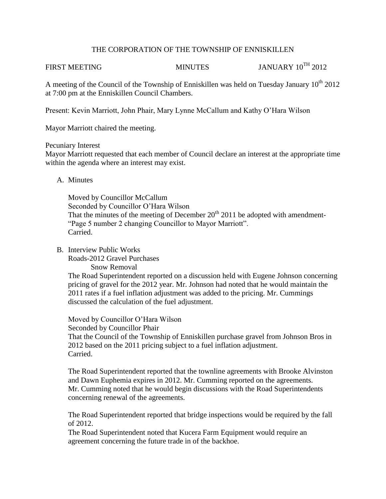### THE CORPORATION OF THE TOWNSHIP OF ENNISKILLEN

FIRST MEETING MINUTES JANUARY 10<sup>TH</sup> 2012

A meeting of the Council of the Township of Enniskillen was held on Tuesday January  $10^{th}$  2012 at 7:00 pm at the Enniskillen Council Chambers.

Present: Kevin Marriott, John Phair, Mary Lynne McCallum and Kathy O'Hara Wilson

Mayor Marriott chaired the meeting.

### Pecuniary Interest

Mayor Marriott requested that each member of Council declare an interest at the appropriate time within the agenda where an interest may exist.

## A. Minutes

Moved by Councillor McCallum Seconded by Councillor O'Hara Wilson That the minutes of the meeting of December  $20<sup>th</sup>$  2011 be adopted with amendment-"Page 5 number 2 changing Councillor to Mayor Marriott". Carried.

## B. Interview Public Works

Roads-2012 Gravel Purchases Snow Removal

The Road Superintendent reported on a discussion held with Eugene Johnson concerning pricing of gravel for the 2012 year. Mr. Johnson had noted that he would maintain the 2011 rates if a fuel inflation adjustment was added to the pricing. Mr. Cummings discussed the calculation of the fuel adjustment.

Moved by Councillor O'Hara Wilson Seconded by Councillor Phair That the Council of the Township of Enniskillen purchase gravel from Johnson Bros in 2012 based on the 2011 pricing subject to a fuel inflation adjustment. Carried.

The Road Superintendent reported that the townline agreements with Brooke Alvinston and Dawn Euphemia expires in 2012. Mr. Cumming reported on the agreements. Mr. Cumming noted that he would begin discussions with the Road Superintendents concerning renewal of the agreements.

The Road Superintendent reported that bridge inspections would be required by the fall of 2012.

The Road Superintendent noted that Kucera Farm Equipment would require an agreement concerning the future trade in of the backhoe.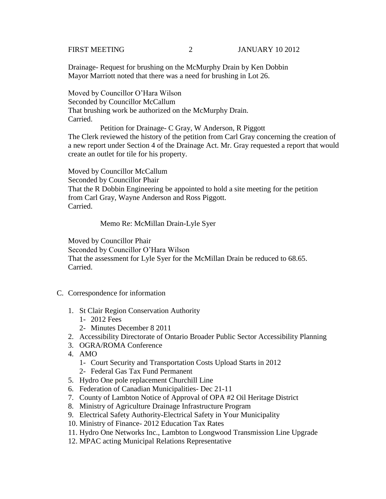Drainage- Request for brushing on the McMurphy Drain by Ken Dobbin Mayor Marriott noted that there was a need for brushing in Lot 26.

 Moved by Councillor O'Hara Wilson Seconded by Councillor McCallum That brushing work be authorized on the McMurphy Drain. Carried.

 Petition for Drainage- C Gray, W Anderson, R Piggott The Clerk reviewed the history of the petition from Carl Gray concerning the creation of a new report under Section 4 of the Drainage Act. Mr. Gray requested a report that would create an outlet for tile for his property.

Moved by Councillor McCallum Seconded by Councillor Phair That the R Dobbin Engineering be appointed to hold a site meeting for the petition from Carl Gray, Wayne Anderson and Ross Piggott. Carried.

Memo Re: McMillan Drain-Lyle Syer

Moved by Councillor Phair Seconded by Councillor O'Hara Wilson That the assessment for Lyle Syer for the McMillan Drain be reduced to 68.65. Carried.

- C. Correspondence for information
	- 1. St Clair Region Conservation Authority
		- 1- 2012 Fees
		- 2- Minutes December 8 2011
	- 2. Accessibility Directorate of Ontario Broader Public Sector Accessibility Planning
	- 3. OGRA/ROMA Conference
	- 4. AMO
		- 1- Court Security and Transportation Costs Upload Starts in 2012
		- 2- Federal Gas Tax Fund Permanent
	- 5. Hydro One pole replacement Churchill Line
	- 6. Federation of Canadian Municipalities- Dec 21-11
	- 7. County of Lambton Notice of Approval of OPA #2 Oil Heritage District
	- 8. Ministry of Agriculture Drainage Infrastructure Program
	- 9. Electrical Safety Authority-Electrical Safety in Your Municipality
	- 10. Ministry of Finance- 2012 Education Tax Rates
	- 11. Hydro One Networks Inc., Lambton to Longwood Transmission Line Upgrade
	- 12. MPAC acting Municipal Relations Representative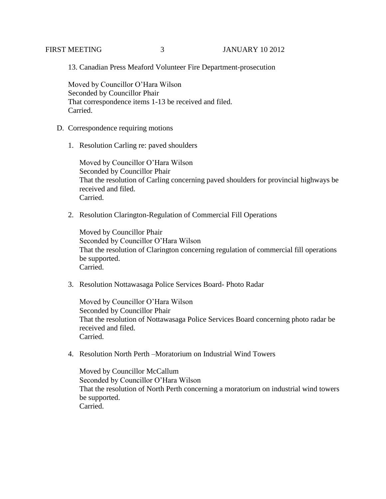# FIRST MEETING 3 JANUARY 10 2012

13. Canadian Press Meaford Volunteer Fire Department-prosecution

Moved by Councillor O'Hara Wilson Seconded by Councillor Phair That correspondence items 1-13 be received and filed. Carried.

- D. Correspondence requiring motions
	- 1. Resolution Carling re: paved shoulders

Moved by Councillor O'Hara Wilson Seconded by Councillor Phair That the resolution of Carling concerning paved shoulders for provincial highways be received and filed. Carried.

2. Resolution Clarington-Regulation of Commercial Fill Operations

Moved by Councillor Phair Seconded by Councillor O'Hara Wilson That the resolution of Clarington concerning regulation of commercial fill operations be supported. Carried.

3. Resolution Nottawasaga Police Services Board- Photo Radar

Moved by Councillor O'Hara Wilson Seconded by Councillor Phair That the resolution of Nottawasaga Police Services Board concerning photo radar be received and filed. Carried.

4. Resolution North Perth –Moratorium on Industrial Wind Towers

Moved by Councillor McCallum Seconded by Councillor O'Hara Wilson That the resolution of North Perth concerning a moratorium on industrial wind towers be supported. Carried.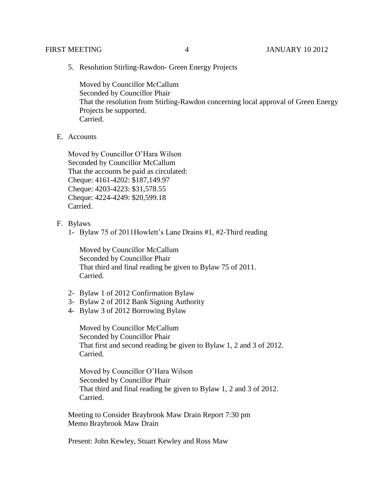5. Resolution Stirling-Rawdon- Green Energy Projects

Moved by Councillor McCallum Seconded by Councillor Phair That the resolution from Stirling-Rawdon concerning local approval of Green Energy Projects be supported. Carried.

E. Accounts

Moved by Councillor O'Hara Wilson Seconded by Councillor McCallum That the accounts be paid as circulated: Cheque: 4161-4202: \$187,149.97 Cheque: 4203-4223: \$31,578.55 Cheque: 4224-4249: \$20,599.18 Carried.

F. Bylaws

1- Bylaw 75 of 2011Howlett's Lane Drains #1, #2-Third reading

Moved by Councillor McCallum Seconded by Councillor Phair That third and final reading be given to Bylaw 75 of 2011. Carried.

- 2- Bylaw 1 of 2012 Confirmation Bylaw
- 3- Bylaw 2 of 2012 Bank Signing Authority
- 4- Bylaw 3 of 2012 Borrowing Bylaw

Moved by Councillor McCallum Seconded by Councillor Phair That first and second reading be given to Bylaw 1, 2 and 3 of 2012. Carried.

Moved by Councillor O'Hara Wilson Seconded by Councillor Phair That third and final reading be given to Bylaw 1, 2 and 3 of 2012. Carried.

Meeting to Consider Braybrook Maw Drain Report 7:30 pm Memo Braybrook Maw Drain

Present: John Kewley, Stuart Kewley and Ross Maw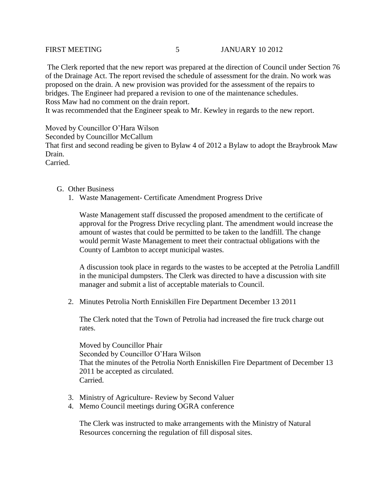The Clerk reported that the new report was prepared at the direction of Council under Section 76 of the Drainage Act. The report revised the schedule of assessment for the drain. No work was proposed on the drain. A new provision was provided for the assessment of the repairs to bridges. The Engineer had prepared a revision to one of the maintenance schedules. Ross Maw had no comment on the drain report.

It was recommended that the Engineer speak to Mr. Kewley in regards to the new report.

Moved by Councillor O'Hara Wilson Seconded by Councillor McCallum That first and second reading be given to Bylaw 4 of 2012 a Bylaw to adopt the Braybrook Maw Drain. Carried.

- G. Other Business
	- 1. Waste Management- Certificate Amendment Progress Drive

Waste Management staff discussed the proposed amendment to the certificate of approval for the Progress Drive recycling plant. The amendment would increase the amount of wastes that could be permitted to be taken to the landfill. The change would permit Waste Management to meet their contractual obligations with the County of Lambton to accept municipal wastes.

A discussion took place in regards to the wastes to be accepted at the Petrolia Landfill in the municipal dumpsters. The Clerk was directed to have a discussion with site manager and submit a list of acceptable materials to Council.

2. Minutes Petrolia North Enniskillen Fire Department December 13 2011

The Clerk noted that the Town of Petrolia had increased the fire truck charge out rates.

Moved by Councillor Phair Seconded by Councillor O'Hara Wilson That the minutes of the Petrolia North Enniskillen Fire Department of December 13 2011 be accepted as circulated. Carried.

- 3. Ministry of Agriculture- Review by Second Valuer
- 4. Memo Council meetings during OGRA conference

The Clerk was instructed to make arrangements with the Ministry of Natural Resources concerning the regulation of fill disposal sites.